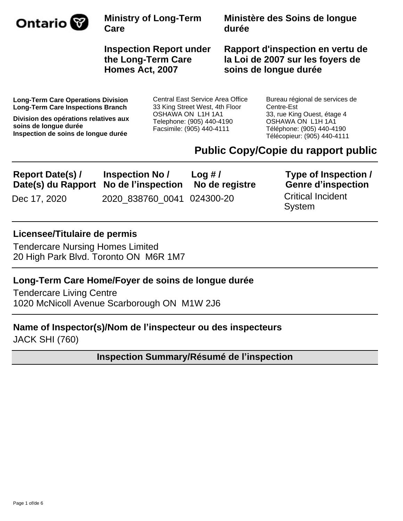

**Ministère des Soins de longue durée**

**Inspection Report under the Long-Term Care Homes Act, 2007**

**Rapport d'inspection en vertu de la Loi de 2007 sur les foyers de soins de longue durée**

**Long-Term Care Operations Division Long-Term Care Inspections Branch**

**Division des opérations relatives aux soins de longue durée Inspection de soins de longue durée**

Central East Service Area Office 33 King Street West, 4th Floor OSHAWA ON L1H 1A1 Telephone: (905) 440-4190 Facsimile: (905) 440-4111

Bureau régional de services de Centre-Est 33, rue King Ouest, étage 4 OSHAWA ON L1H 1A1 Téléphone: (905) 440-4190 Télécopieur: (905) 440-4111

# **Public Copy/Copie du rapport public**

| <b>Report Date(s)/</b>                | <b>Inspection No /</b>     | Log #/         | Type of Inspection /               |
|---------------------------------------|----------------------------|----------------|------------------------------------|
| Date(s) du Rapport No de l'inspection |                            | No de registre | <b>Genre d'inspection</b>          |
| Dec 17, 2020                          | 2020 838760 0041 024300-20 |                | <b>Critical Incident</b><br>System |

### **Licensee/Titulaire de permis**

Tendercare Nursing Homes Limited 20 High Park Blvd. Toronto ON M6R 1M7

### **Long-Term Care Home/Foyer de soins de longue durée**

Tendercare Living Centre 1020 McNicoll Avenue Scarborough ON M1W 2J6

# **Name of Inspector(s)/Nom de l¶inspecteur ou des inspecteurs**

JACK SHI (760)

**Inspection Summary/Résumé de l'inspection**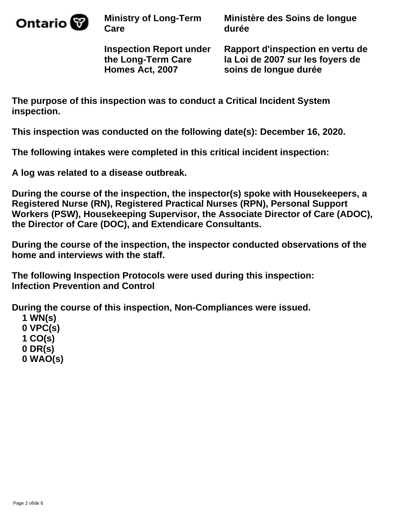

**Ministère des Soins de longue durée**

**Inspection Report under the Long-Term Care Homes Act, 2007**

**Rapport d'inspection en vertu de la Loi de 2007 sur les foyers de soins de longue durée**

**The purpose of this inspection was to conduct a Critical Incident System inspection.**

**This inspection was conducted on the following date(s): December 16, 2020.**

**The following intakes were completed in this critical incident inspection:** 

**A log was related to a disease outbreak.**

**During the course of the inspection, the inspector(s) spoke with Housekeepers, a Registered Nurse (RN), Registered Practical Nurses (RPN), Personal Support Workers (PSW), Housekeeping Supervisor, the Associate Director of Care (ADOC), the Director of Care (DOC), and Extendicare Consultants.**

**During the course of the inspection, the inspector conducted observations of the home and interviews with the staff.**

**The following Inspection Protocols were used during this inspection: Infection Prevention and Control**

**During the course of this inspection, Non-Compliances were issued.**

 **1 WN(s) 0 VPC(s) 1 CO(s) 0 DR(s) 0 WAO(s)**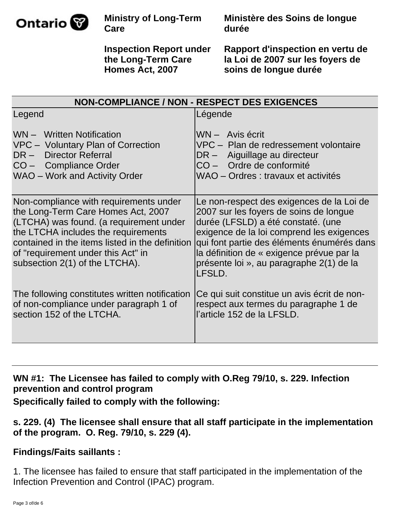

**Ministère des Soins de longue durée**

**Inspection Report under the Long-Term Care Homes Act, 2007**

**Rapport d'inspection en vertu de la Loi de 2007 sur les foyers de soins de longue durée**

| NON-COMPLIANCE / NON - RESPECT DES EXIGENCES                                                                                                                                                                                                                                              |                                                                                                                                                                                                                                                                                                                         |  |  |
|-------------------------------------------------------------------------------------------------------------------------------------------------------------------------------------------------------------------------------------------------------------------------------------------|-------------------------------------------------------------------------------------------------------------------------------------------------------------------------------------------------------------------------------------------------------------------------------------------------------------------------|--|--|
| Legend                                                                                                                                                                                                                                                                                    | Légende                                                                                                                                                                                                                                                                                                                 |  |  |
| WN - Written Notification<br>VPC - Voluntary Plan of Correction<br>DR - Director Referral<br>CO - Compliance Order<br>WAO - Work and Activity Order                                                                                                                                       | WN - Avis écrit<br>VPC - Plan de redressement volontaire<br>DR - Aiguillage au directeur<br>CO - Ordre de conformité<br>WAO - Ordres : travaux et activités                                                                                                                                                             |  |  |
| Non-compliance with requirements under<br>the Long-Term Care Homes Act, 2007<br>(LTCHA) was found. (a requirement under<br>the LTCHA includes the requirements<br>contained in the items listed in the definition<br>of "requirement under this Act" in<br>subsection 2(1) of the LTCHA). | Le non-respect des exigences de la Loi de<br>2007 sur les foyers de soins de longue<br>durée (LFSLD) a été constaté. (une<br>exigence de la loi comprend les exigences<br>qui font partie des éléments énumérés dans<br>la définition de « exigence prévue par la<br>présente loi », au paragraphe 2(1) de la<br>LFSLD. |  |  |
| The following constitutes written notification<br>of non-compliance under paragraph 1 of<br>section 152 of the LTCHA.                                                                                                                                                                     | Ce qui suit constitue un avis écrit de non-<br>respect aux termes du paragraphe 1 de<br>l'article 152 de la LFSLD.                                                                                                                                                                                                      |  |  |

**WN #1: The Licensee has failed to comply with O.Reg 79/10, s. 229. Infection prevention and control program**

**Specifically failed to comply with the following:**

# **s. 229. (4) The licensee shall ensure that all staff participate in the implementation of the program. O. Reg. 79/10, s. 229 (4).**

# **Findings/Faits saillants :**

1. The licensee has failed to ensure that staff participated in the implementation of the Infection Prevention and Control (IPAC) program.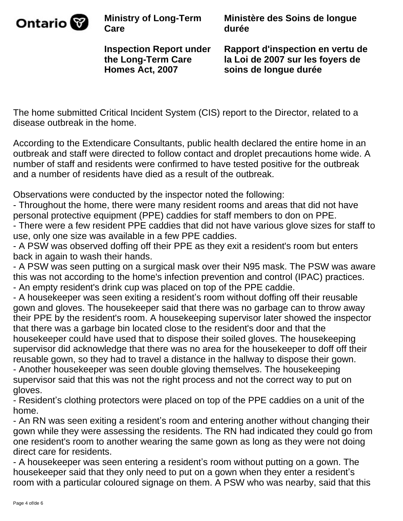

**Ministère des Soins de longue durée**

**Inspection Report under the Long-Term Care Homes Act, 2007**

**Rapport d'inspection en vertu de la Loi de 2007 sur les foyers de soins de longue durée**

The home submitted Critical Incident System (CIS) report to the Director, related to a disease outbreak in the home.

According to the Extendicare Consultants, public health declared the entire home in an outbreak and staff were directed to follow contact and droplet precautions home wide. A number of staff and residents were confirmed to have tested positive for the outbreak and a number of residents have died as a result of the outbreak.

Observations were conducted by the inspector noted the following:

- Throughout the home, there were many resident rooms and areas that did not have personal protective equipment (PPE) caddies for staff members to don on PPE. - There were a few resident PPE caddies that did not have various glove sizes for staff to use, only one size was available in a few PPE caddies.

- A PSW was observed doffing off their PPE as they exit a resident's room but enters back in again to wash their hands.

- A PSW was seen putting on a surgical mask over their N95 mask. The PSW was aware this was not according to the home's infection prevention and control (IPAC) practices.

- An empty resident's drink cup was placed on top of the PPE caddie.

- A housekeeper was seen exiting a resident's room without doffing off their reusable gown and gloves. The housekeeper said that there was no garbage can to throw away their PPE by the resident's room. A housekeeping supervisor later showed the inspector that there was a garbage bin located close to the resident's door and that the housekeeper could have used that to dispose their soiled gloves. The housekeeping supervisor did acknowledge that there was no area for the housekeeper to doff off their reusable gown, so they had to travel a distance in the hallway to dispose their gown. - Another housekeeper was seen double gloving themselves. The housekeeping

supervisor said that this was not the right process and not the correct way to put on gloves.

- Resident's clothing protectors were placed on top of the PPE caddies on a unit of the home.

- An RN was seen exiting a resident's room and entering another without changing their gown while they were assessing the residents. The RN had indicated they could go from one resident's room to another wearing the same gown as long as they were not doing direct care for residents.

- A housekeeper was seen entering a resident's room without putting on a gown. The housekeeper said that they only need to put on a gown when they enter a resident's room with a particular coloured signage on them. A PSW who was nearby, said that this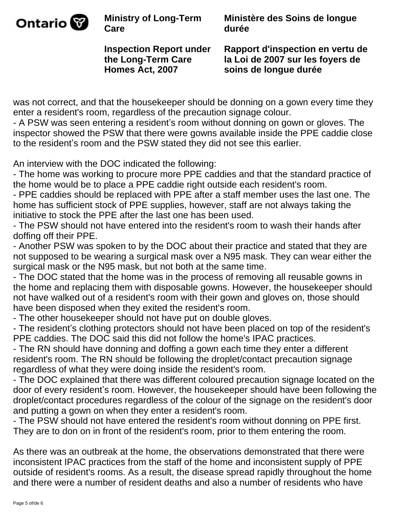

**Ministère des Soins de longue durée**

**Inspection Report under the Long-Term Care Homes Act, 2007**

**Rapport d'inspection en vertu de la Loi de 2007 sur les foyers de soins de longue durée**

was not correct, and that the housekeeper should be donning on a gown every time they enter a resident's room, regardless of the precaution signage colour.

- A PSW was seen entering a resident's room without donning on gown or gloves. The inspector showed the PSW that there were gowns available inside the PPE caddie close to the resident's room and the PSW stated they did not see this earlier.

An interview with the DOC indicated the following:

- The home was working to procure more PPE caddies and that the standard practice of the home would be to place a PPE caddie right outside each resident's room.

- PPE caddies should be replaced with PPE after a staff member uses the last one. The home has sufficient stock of PPE supplies, however, staff are not always taking the initiative to stock the PPE after the last one has been used.

- The PSW should not have entered into the resident's room to wash their hands after doffing off their PPE.

- Another PSW was spoken to by the DOC about their practice and stated that they are not supposed to be wearing a surgical mask over a N95 mask. They can wear either the surgical mask or the N95 mask, but not both at the same time.

- The DOC stated that the home was in the process of removing all reusable gowns in the home and replacing them with disposable gowns. However, the housekeeper should not have walked out of a resident's room with their gown and gloves on, those should have been disposed when they exited the resident's room.

- The other housekeeper should not have put on double gloves.

- The resident's clothing protectors should not have been placed on top of the resident's PPE caddies. The DOC said this did not follow the home's IPAC practices.

- The RN should have donning and doffing a gown each time they enter a different resident's room. The RN should be following the droplet/contact precaution signage regardless of what they were doing inside the resident's room.

- The DOC explained that there was different coloured precaution signage located on the door of every resident's room. However, the housekeeper should have been following the droplet/contact procedures regardless of the colour of the signage on the resident's door and putting a gown on when they enter a resident's room.

- The PSW should not have entered the resident's room without donning on PPE first. They are to don on in front of the resident's room, prior to them entering the room.

As there was an outbreak at the home, the observations demonstrated that there were inconsistent IPAC practices from the staff of the home and inconsistent supply of PPE outside of resident's rooms. As a result, the disease spread rapidly throughout the home and there were a number of resident deaths and also a number of residents who have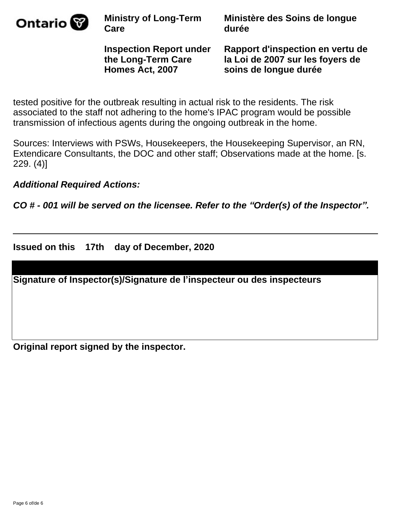

**Ministère des Soins de longue durée**

**Inspection Report under the Long-Term Care Homes Act, 2007**

**Rapport d'inspection en vertu de la Loi de 2007 sur les foyers de soins de longue durée**

tested positive for the outbreak resulting in actual risk to the residents. The risk associated to the staff not adhering to the home's IPAC program would be possible transmission of infectious agents during the ongoing outbreak in the home.

Sources: Interviews with PSWs, Housekeepers, the Housekeeping Supervisor, an RN, Extendicare Consultants, the DOC and other staff; Observations made at the home. [s. 229. (4)]

**Additional Required Actions:** 

**CO # - 001 will be served on the licensee. Refer to the "Order(s) of the Inspector".** 

**Issued on this 17th day of December, 2020**

**Signature of Inspector(s)/Signature de l¶inspecteur ou des inspecteurs**

**Original report signed by the inspector.**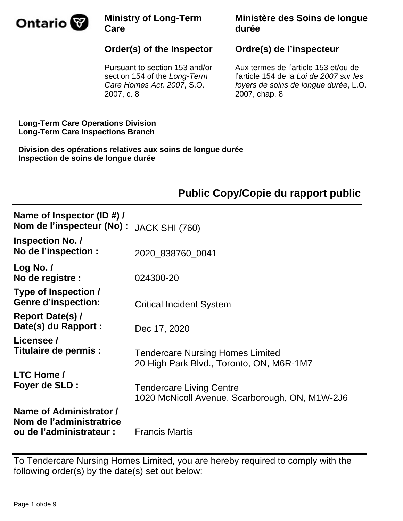

## **Ministère des Soins de longue durée**

# **Order(s) of the Inspector**

Pursuant to section 153 and/or section 154 of the Long-Term Care Homes Act, 2007, S.O. 2007, c. 8

# **Ordre(s) de l'inspecteur**

Aux termes de l'article 153 et/ou de l'article 154 de la Loi de 2007 sur les foyers de soins de longue durée, L.O. 2007, chap. 8

**Long-Term Care Operations Division Long-Term Care Inspections Branch**

**Division des opérations relatives aux soins de longue durée Inspection de soins de longue durée**

# **Public Copy/Copie du rapport public**

| Name of Inspector (ID #) /<br>Nom de l'inspecteur (No) :                        | <b>JACK SHI (760)</b>                                                               |
|---------------------------------------------------------------------------------|-------------------------------------------------------------------------------------|
| <b>Inspection No. /</b><br>No de l'inspection :                                 | 2020 838760 0041                                                                    |
| Log No. $/$<br>No de registre :                                                 | 024300-20                                                                           |
| Type of Inspection /<br><b>Genre d'inspection:</b>                              | <b>Critical Incident System</b>                                                     |
| <b>Report Date(s)/</b><br>Date(s) du Rapport :                                  | Dec 17, 2020                                                                        |
| Licensee /<br>Titulaire de permis :                                             | <b>Tendercare Nursing Homes Limited</b><br>20 High Park Blvd., Toronto, ON, M6R-1M7 |
| <b>LTC Home /</b><br>Foyer de SLD :                                             | <b>Tendercare Living Centre</b><br>1020 McNicoll Avenue, Scarborough, ON, M1W-2J6   |
| Name of Administrator /<br>Nom de l'administratrice<br>ou de l'administrateur : | <b>Francis Martis</b>                                                               |

To Tendercare Nursing Homes Limited, you are hereby required to comply with the following order(s) by the date(s) set out below: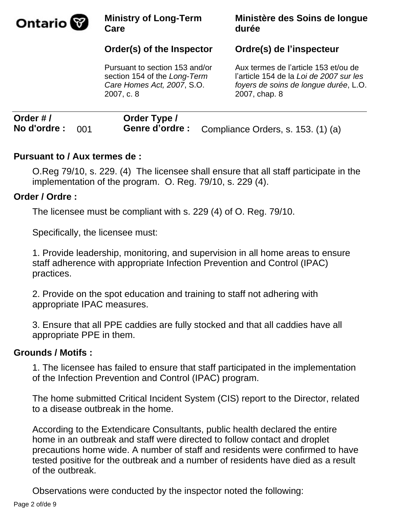

# **Order(s) of the Inspector**

Pursuant to section 153 and/or section 154 of the Long-Term Care Homes Act, 2007, S.O. 2007, c. 8

### **Ministère des Soins de longue durée**

### **Ordre(s) de l¶inspecteur**

Aux termes de l'article 153 et/ou de l'article 154 de la Loi de 2007 sur les foyers de soins de longue durée, L.O. 2007, chap. 8

| Order #/           | Order Type / |                                                    |
|--------------------|--------------|----------------------------------------------------|
| No d'ordre : $001$ |              | Genre d'ordre : Compliance Orders, s. 153. (1) (a) |

### **Pursuant to / Aux termes de :**

O.Reg 79/10, s. 229. (4) The licensee shall ensure that all staff participate in the implementation of the program. O. Reg. 79/10, s. 229 (4).

### **Order / Ordre :**

The licensee must be compliant with s. 229 (4) of O. Reg. 79/10.

Specifically, the licensee must:

1. Provide leadership, monitoring, and supervision in all home areas to ensure staff adherence with appropriate Infection Prevention and Control (IPAC) practices.

2. Provide on the spot education and training to staff not adhering with appropriate IPAC measures.

3. Ensure that all PPE caddies are fully stocked and that all caddies have all appropriate PPE in them.

### **Grounds / Motifs :**

1. The licensee has failed to ensure that staff participated in the implementation of the Infection Prevention and Control (IPAC) program.

The home submitted Critical Incident System (CIS) report to the Director, related to a disease outbreak in the home.

According to the Extendicare Consultants, public health declared the entire home in an outbreak and staff were directed to follow contact and droplet precautions home wide. A number of staff and residents were confirmed to have tested positive for the outbreak and a number of residents have died as a result of the outbreak.

Observations were conducted by the inspector noted the following: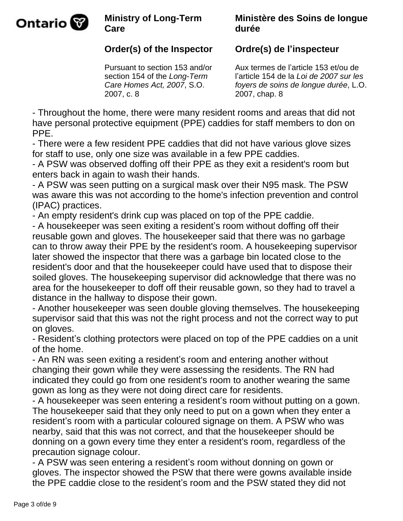

### **Ministère des Soins de longue durée**

# **Order(s) of the Inspector**

Pursuant to section 153 and/or section 154 of the Long-Term Care Homes Act, 2007, S.O. 2007, c. 8

## **Ordre(s) de l¶inspecteur**

Aux termes de l'article 153 et/ou de l'article 154 de la Loi de 2007 sur les foyers de soins de longue durée, L.O. 2007, chap. 8

- Throughout the home, there were many resident rooms and areas that did not have personal protective equipment (PPE) caddies for staff members to don on PPE.

- There were a few resident PPE caddies that did not have various glove sizes for staff to use, only one size was available in a few PPE caddies.

- A PSW was observed doffing off their PPE as they exit a resident's room but enters back in again to wash their hands.

- A PSW was seen putting on a surgical mask over their N95 mask. The PSW was aware this was not according to the home's infection prevention and control (IPAC) practices.

- An empty resident's drink cup was placed on top of the PPE caddie.

- A housekeeper was seen exiting a resident's room without doffing off their reusable gown and gloves. The housekeeper said that there was no garbage can to throw away their PPE by the resident's room. A housekeeping supervisor later showed the inspector that there was a garbage bin located close to the resident's door and that the housekeeper could have used that to dispose their soiled gloves. The housekeeping supervisor did acknowledge that there was no area for the housekeeper to doff off their reusable gown, so they had to travel a distance in the hallway to dispose their gown.

- Another housekeeper was seen double gloving themselves. The housekeeping supervisor said that this was not the right process and not the correct way to put on gloves.

- Resident's clothing protectors were placed on top of the PPE caddies on a unit of the home.

- An RN was seen exiting a resident's room and entering another without changing their gown while they were assessing the residents. The RN had indicated they could go from one resident's room to another wearing the same gown as long as they were not doing direct care for residents.

- A housekeeper was seen entering a resident's room without putting on a gown. The housekeeper said that they only need to put on a gown when they enter a resident's room with a particular coloured signage on them. A PSW who was nearby, said that this was not correct, and that the housekeeper should be donning on a gown every time they enter a resident's room, regardless of the precaution signage colour.

- A PSW was seen entering a resident's room without donning on gown or gloves. The inspector showed the PSW that there were gowns available inside the PPE caddie close to the resident's room and the PSW stated they did not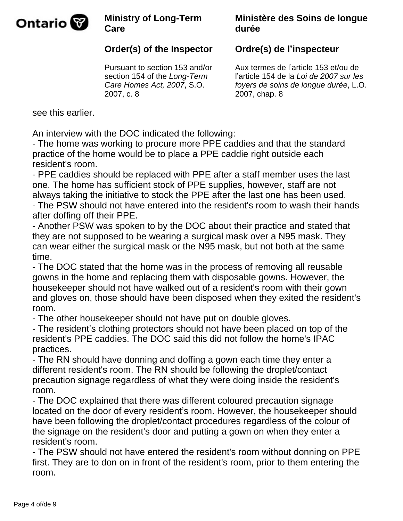

### **Ministère des Soins de longue durée**

# **Order(s) of the Inspector**

Pursuant to section 153 and/or section 154 of the Long-Term Care Homes Act, 2007, S.O. 2007, c. 8

# **Ordre(s) de l¶inspecteur**

Aux termes de l'article 153 et/ou de l'article 154 de la Loi de 2007 sur les foyers de soins de longue durée, L.O. 2007, chap. 8

see this earlier.

An interview with the DOC indicated the following:

- The home was working to procure more PPE caddies and that the standard practice of the home would be to place a PPE caddie right outside each resident's room.

- PPE caddies should be replaced with PPE after a staff member uses the last one. The home has sufficient stock of PPE supplies, however, staff are not always taking the initiative to stock the PPE after the last one has been used. - The PSW should not have entered into the resident's room to wash their hands after doffing off their PPE.

- Another PSW was spoken to by the DOC about their practice and stated that they are not supposed to be wearing a surgical mask over a N95 mask. They can wear either the surgical mask or the N95 mask, but not both at the same time.

- The DOC stated that the home was in the process of removing all reusable gowns in the home and replacing them with disposable gowns. However, the housekeeper should not have walked out of a resident's room with their gown and gloves on, those should have been disposed when they exited the resident's room.

- The other housekeeper should not have put on double gloves.

- The resident's clothing protectors should not have been placed on top of the resident's PPE caddies. The DOC said this did not follow the home's IPAC practices.

- The RN should have donning and doffing a gown each time they enter a different resident's room. The RN should be following the droplet/contact precaution signage regardless of what they were doing inside the resident's room.

- The DOC explained that there was different coloured precaution signage located on the door of every resident's room. However, the housekeeper should have been following the droplet/contact procedures regardless of the colour of the signage on the resident's door and putting a gown on when they enter a resident's room.

- The PSW should not have entered the resident's room without donning on PPE first. They are to don on in front of the resident's room, prior to them entering the room.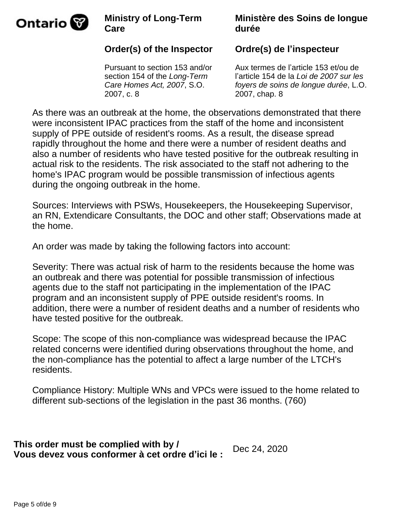

### **Ministère des Soins de longue durée**

# **Order(s) of the Inspector**

Pursuant to section 153 and/or section 154 of the Long-Term Care Homes Act, 2007, S.O. 2007, c. 8

# **Ordre(s) de l'inspecteur**

Aux termes de l'article 153 et/ou de l'article 154 de la Loi de 2007 sur les foyers de soins de longue durée, L.O. 2007, chap. 8

As there was an outbreak at the home, the observations demonstrated that there were inconsistent IPAC practices from the staff of the home and inconsistent supply of PPE outside of resident's rooms. As a result, the disease spread rapidly throughout the home and there were a number of resident deaths and also a number of residents who have tested positive for the outbreak resulting in actual risk to the residents. The risk associated to the staff not adhering to the home's IPAC program would be possible transmission of infectious agents during the ongoing outbreak in the home.

Sources: Interviews with PSWs, Housekeepers, the Housekeeping Supervisor, an RN, Extendicare Consultants, the DOC and other staff; Observations made at the home.

An order was made by taking the following factors into account:

Severity: There was actual risk of harm to the residents because the home was an outbreak and there was potential for possible transmission of infectious agents due to the staff not participating in the implementation of the IPAC program and an inconsistent supply of PPE outside resident's rooms. In addition, there were a number of resident deaths and a number of residents who have tested positive for the outbreak.

Scope: The scope of this non-compliance was widespread because the IPAC related concerns were identified during observations throughout the home, and the non-compliance has the potential to affect a large number of the LTCH's residents.

Compliance History: Multiple WNs and VPCs were issued to the home related to different sub-sections of the legislation in the past 36 months. (760)

**This order must be complied with by / Vous devez vous conformer à cet ordre d¶ici le :** Dec 24, 2020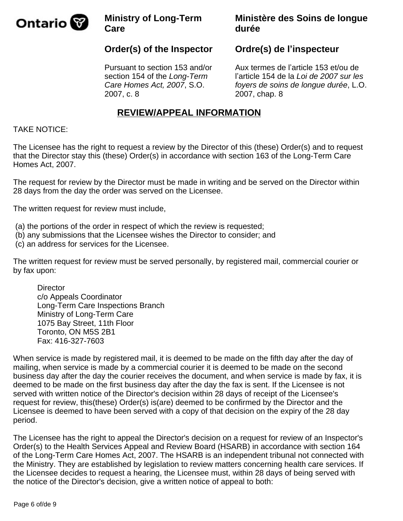

### **Ministère des Soins de longue durée**

# **Order(s) of the Inspector**

Pursuant to section 153 and/or section 154 of the Long-Term Care Homes Act, 2007, S.O. 2007, c. 8

### **Ordre(s) de l'inspecteur**

Aux termes de l'article 153 et/ou de l'article 154 de la Loi de 2007 sur les foyers de soins de longue durée, L.O. 2007, chap. 8

### **REVIEW/APPEAL INFORMATION**

#### TAKE NOTICE:

The Licensee has the right to request a review by the Director of this (these) Order(s) and to request that the Director stay this (these) Order(s) in accordance with section 163 of the Long-Term Care Homes Act, 2007.

The request for review by the Director must be made in writing and be served on the Director within 28 days from the day the order was served on the Licensee.

The written request for review must include,

- (a) the portions of the order in respect of which the review is requested;
- (b) any submissions that the Licensee wishes the Director to consider; and
- (c) an address for services for the Licensee.

The written request for review must be served personally, by registered mail, commercial courier or by fax upon:

**Director**  c/o Appeals Coordinator Long-Term Care Inspections Branch Ministry of Long-Term Care 1075 Bay Street, 11th Floor Toronto, ON M5S 2B1 Fax: 416-327-7603

When service is made by registered mail, it is deemed to be made on the fifth day after the day of mailing, when service is made by a commercial courier it is deemed to be made on the second business day after the day the courier receives the document, and when service is made by fax, it is deemed to be made on the first business day after the day the fax is sent. If the Licensee is not served with written notice of the Director's decision within 28 days of receipt of the Licensee's request for review, this(these) Order(s) is(are) deemed to be confirmed by the Director and the Licensee is deemed to have been served with a copy of that decision on the expiry of the 28 day period.

The Licensee has the right to appeal the Director's decision on a request for review of an Inspector's Order(s) to the Health Services Appeal and Review Board (HSARB) in accordance with section 164 of the Long-Term Care Homes Act, 2007. The HSARB is an independent tribunal not connected with the Ministry. They are established by legislation to review matters concerning health care services. If the Licensee decides to request a hearing, the Licensee must, within 28 days of being served with the notice of the Director's decision, give a written notice of appeal to both: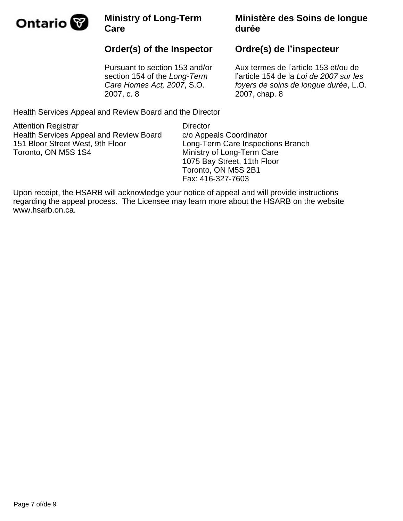

# **Order(s) of the Inspector**

Pursuant to section 153 and/or section 154 of the Long-Term Care Homes Act, 2007, S.O. 2007, c. 8

### **Ministère des Soins de longue durée**

### **Ordre(s) de l'inspecteur**

Aux termes de l'article 153 et/ou de l'article 154 de la Loi de 2007 sur les foyers de soins de longue durée, L.O. 2007, chap. 8

Health Services Appeal and Review Board and the Director

Attention Registrar Health Services Appeal and Review Board 151 Bloor Street West, 9th Floor Toronto, ON M5S 1S4

**Director** c/o Appeals Coordinator Long-Term Care Inspections Branch Ministry of Long-Term Care 1075 Bay Street, 11th Floor Toronto, ON M5S 2B1 Fax: 416-327-7603

Upon receipt, the HSARB will acknowledge your notice of appeal and will provide instructions regarding the appeal process. The Licensee may learn more about the HSARB on the website www.hsarb.on.ca.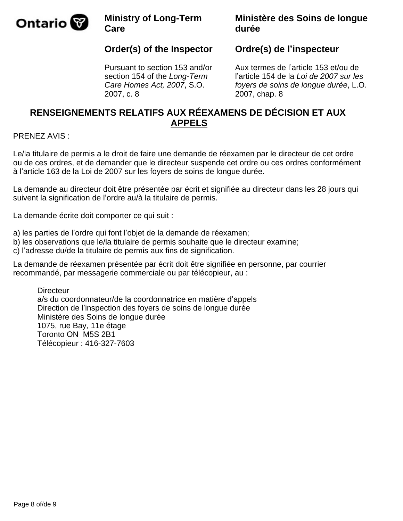

### **Ministère des Soins de longue durée**

## **Order(s) of the Inspector**

Pursuant to section 153 and/or section 154 of the Long-Term Care Homes Act, 2007, S.O. 2007, c. 8

### **Ordre(s) de l'inspecteur**

Aux termes de l'article 153 et/ou de l'article 154 de la Loi de 2007 sur les foyers de soins de longue durée, L.O. 2007, chap. 8

### **RENSEIGNEMENTS RELATIFS AUX RÉEXAMENS DE DÉCISION ET AUX APPELS**

#### PRENEZ AVIS :

Le/la titulaire de permis a le droit de faire une demande de réexamen par le directeur de cet ordre ou de ces ordres, et de demander que le directeur suspende cet ordre ou ces ordres conformément à l'article 163 de la Loi de 2007 sur les foyers de soins de longue durée.

La demande au directeur doit être présentée par écrit et signifiée au directeur dans les 28 jours qui suivent la signification de l'ordre au/à la titulaire de permis.

La demande écrite doit comporter ce qui suit :

a) les parties de l'ordre qui font l'objet de la demande de réexamen;

- b) les observations que le/la titulaire de permis souhaite que le directeur examine;
- c) l'adresse du/de la titulaire de permis aux fins de signification.

La demande de réexamen présentée par écrit doit être signifiée en personne, par courrier recommandé, par messagerie commerciale ou par télécopieur, au :

**Directeur** a/s du coordonnateur/de la coordonnatrice en matière d'appels Direction de l'inspection des foyers de soins de longue durée Ministère des Soins de longue durée 1075, rue Bay, 11e étage Toronto ON M5S 2B1 Télécopieur : 416-327-7603